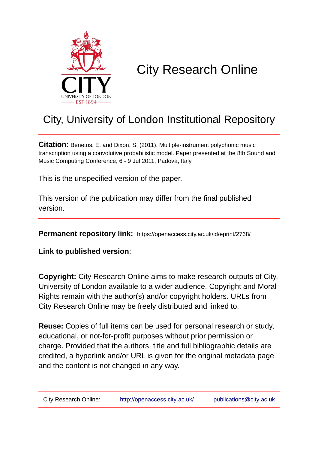

# City Research Online

## City, University of London Institutional Repository

**Citation**: Benetos, E. and Dixon, S. (2011). Multiple-instrument polyphonic music transcription using a convolutive probabilistic model. Paper presented at the 8th Sound and Music Computing Conference, 6 - 9 Jul 2011, Padova, Italy.

This is the unspecified version of the paper.

This version of the publication may differ from the final published version.

**Permanent repository link:** https://openaccess.city.ac.uk/id/eprint/2768/

**Link to published version**:

**Copyright:** City Research Online aims to make research outputs of City, University of London available to a wider audience. Copyright and Moral Rights remain with the author(s) and/or copyright holders. URLs from City Research Online may be freely distributed and linked to.

**Reuse:** Copies of full items can be used for personal research or study, educational, or not-for-profit purposes without prior permission or charge. Provided that the authors, title and full bibliographic details are credited, a hyperlink and/or URL is given for the original metadata page and the content is not changed in any way.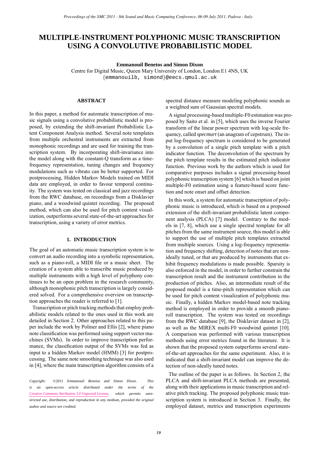### **MULTIPLE-INSTRUMENT POLYPHONIC MUSIC TRANSCRIPTION USING A CONVOLUTIVE PROBABILISTIC MODEL**

**Emmanouil Benetos and Simon Dixon**

Centre for Digital Music, Queen Mary University of London, London E1 4NS, UK {[emmanouilb, simond](mailto:emmanouilb@eecs.qmul.ac.uk)}@eecs.qmul.ac.uk

#### **ABSTRACT**

In this paper, a method for automatic transcription of music signals using a convolutive probabilistic model is proposed, by extending the shift-invariant Probabilistic Latent Component Analysis method. Several note templates from multiple orchestral instruments are extracted from monophonic recordings and are used for training the transcription system. By incorporating shift-invariance into the model along with the constant-Q transform as a timefrequency representation, tuning changes and frequency modulations such as vibrato can be better supported. For postprocessing, Hidden Markov Models trained on MIDI data are employed, in order to favour temporal continuity. The system was tested on classical and jazz recordings from the RWC database, on recordings from a Disklavier piano, and a woodwind quintet recording. The proposed method, which can also be used for pitch content visualization, outperforms several state-of-the-art approaches for transcription, using a variety of error metrics.

#### **1. INTRODUCTION**

The goal of an automatic music transcription system is to convert an audio recording into a symbolic representation, such as a piano-roll, a MIDI file or a music sheet. The creation of a system able to transcribe music produced by multiple instruments with a high level of polyphony continues to be an open problem in the research community, although monophonic pitch transcription is largely considered solved. For a comprehensive overview on transcription approaches the reader is referred to [\[1\]](#page-6-0).

Transcription or pitch tracking methods that employ probabilistic models related to the ones used in this work are detailed in Section [2.](#page--1-0) Other approaches related to this paper include the work by Poliner and Ellis [\[2\]](#page-6-1), where piano note classification was performed using support vector machines (SVMs). In order to improve transcription performance, the classification output of the SVMs was fed as input to a hidden Markov model (HMM) [\[3\]](#page-6-2) for postprocessing. The same note smoothing technique was also used in [\[4\]](#page-6-3), where the main transcription algorithm consists of a

*Copyright: ©2011 Emmanouil Benetos and Simon Dixon. This is an open-access article distributed under the terms of the [Creative Commons Attribution 3.0 Unported License,](http://creativecommons.org/licenses/by/3.0/) which permits unrestricted use, distribution, and reproduction in any medium, provided the original author and source are credited.*

spectral distance measure modeling polyphonic sounds as a weighted sum of Gaussian spectral models.

A signal processing-based multiple-F0 estimation was proposed by Saito et al. in [\[5\]](#page-6-4), which uses the inverse Fourier transform of the linear power spectrum with log-scale frequency, called *specmurt* (an anagram of cepstrum). The input log-frequency spectrum is considered to be generated by a convolution of a single pitch template with a pitch indicator function. The deconvolution of the spectrum by the pitch template results in the estimated pitch indicator function. Previous work by the authors which is used for comparative purposes includes a signal processing-based polyphonic transcription system [\[6\]](#page-6-5) which is based on joint multiple-F0 estimation using a feature-based score function and note onset and offset detection.

In this work, a system for automatic transcription of polyphonic music is introduced, which is based on a proposed extension of the shift-invariant probabilistic latent component analysis (PLCA) [\[7\]](#page-6-6) model. Contrary to the models in [\[7,](#page-6-6) [8\]](#page-6-7), which use a single spectral template for all pitches from the same instrument source, this model is able to support the use of multiple pitch templates extracted from multiple sources. Using a log-frequency representation and frequency shifting, detection of notes that are nonideally tuned, or that are produced by instruments that exhibit frequency modulations is made possible. Sparsity is also enforced in the model, in order to further constrain the transcription result and the instrument contribution in the production of pitches. Also, an intermediate result of the proposed model is a time-pitch representation which can be used for pitch content visualization of polyphonic music. Finally, a hidden Markov model-based note tracking method is employed in order to provide a smooth pianoroll transcription. The system was tested on recordings from the RWC database [\[9\]](#page-6-8), the Disklavier dataset in [\[2\]](#page-6-1), as well as the MIREX multi-F0 woodwind quintet [\[10\]](#page-6-9). A comparison was performed with various transcription methods using error metrics found in the literature. It is shown that the proposed system outperforms several stateof-the-art approaches for the same experiment. Also, it is indicated that a shift-invariant model can improve the detection of non-ideally tuned notes. *Proceedings of the SMC 2011.* Sound and Music Computer (and MSIC CTRANSCR)<br> **PP. P-INSTRUMENT POLYPHONIC MUSIC TRANSCR**<br> **CERVIS A CONVOLUTIVE PROBABILISTIC MODEL**<br>
Centre fo Digital Music, Queen May University of London,

The outline of the paper is as follows. In Section [2,](#page--1-0) the PLCA and shift-invariant PLCA methods are presented, along with their applications in music transcription and relative pitch tracking. The proposed polyphonic music transcription system is introduced in Section [3.](#page--1-1) Finally, the employed dataset, metrics and transcription experiments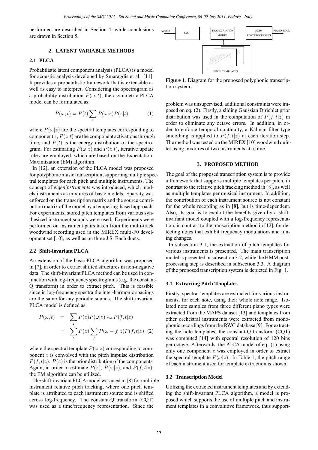performed are described in Section [4,](#page--1-2) while conclusions are drawn in Section [5.](#page--1-3)

#### **2. LATENT VARIABLE METHODS**

#### **2.1 PLCA**

Probabilistic latent component analysis (PLCA) is a model for acoustic analysis developed by Smaragdis et al. [\[11\]](#page-6-10). It provides a probabilistic framework that is extensible as well as easy to interpret. Considering the spectrogram as a probability distribution  $P(\omega, t)$ , the asymmetric PLCA model can be formulated as:

$$
P(\omega, t) = P(t) \sum_{z} P(\omega|z) P(z|t)
$$
 (1)

where  $P(\omega|z)$  are the spectral templates corresponding to component z,  $P(z|t)$  are the component activations through time, and  $P(t)$  is the energy distribution of the spectrogram. For estimating  $P(\omega|z)$  and  $P(z|t)$ , iterative update rules are employed, which are based on the Expectation-Maximization (EM) algorithm.

In [\[12\]](#page-6-11), an extension of the PLCA model was proposed for polyphonic music transcription, supporting multiple spectral templates for each pitch and multiple instruments. The concept of *eigeninstruments* was introduced, which models instruments as mixtures of basic models. Sparsity was enforced on the transcription matrix and the source contribution matrix of the model by a tempering-based approach. For experiments, stored pitch templates from various synthesized instrument sounds were used. Experiments were performed on instrument pairs taken from the multi-track woodwind recording used in the MIREX multi-F0 development set [\[10\]](#page-6-9), as well as on three J.S. Bach duets. *Proceeding of the SMC 2011*, we stand one for the Computing Conference (66-09 July 2011, Padova - Interaction<br>
Beschiffed in Socialista A, while every lacking  $\frac{1}{2}$  **Processor**  $\frac{1}{2}$  **Processor**  $\frac{1}{2}$  **Proces** 

#### **2.2 Shift-invariant PLCA**

An extension of the basic PLCA algorithm was proposed in [\[7\]](#page-6-6), in order to extract shifted structures in non-negative data. The shift-invariant PLCA method can be used in conjunction with log-frequency spectrograms (e.g. the constant-Q transform) in order to extract pitch. This is feasible since in log-frequency spectra the inter-harmonic spacings are the same for any periodic sounds. The shift-invariant PLCA model is defined as:

$$
P(\omega, t) = \sum_{z} P(z) P(\omega|z) *_{\omega} P(f, t|z)
$$
  
= 
$$
\sum_{z} P(z) \sum_{f} P(\omega - f|z) P(f, t|z)
$$
 (2)

where the spectral template  $P(\omega|z)$  corresponding to component  $z$  is convolved with the pitch impulse distribution  $P(f, t|z)$ .  $P(z)$  is the prior distribution of the components. Again, in order to estimate  $P(z)$ ,  $P(\omega|z)$ , and  $P(f, t|z)$ , the EM algorithm can be utilized.

The shift-invariant PLCA model was used in [\[8\]](#page-6-7) for multipleinstrument relative pitch tracking, where one pitch template is attributed to each instrument source and is shifted across log-frequency. The constant-Q transform (CQT) was used as a time/frequency representation. Since the



**Figure 1**. Diagram for the proposed polyphonic transcription system.

problem was unsupervised, additional constraints were imposed on eq. [\(2\)](#page--1-4). Firstly, a sliding Gaussian Dirichlet prior distribution was used in the computation of  $P(f, t|z)$  in order to eliminate any octave errors. In addition, in order to enforce temporal continuity, a Kalman filter type smoothing is applied to  $P(f, t|z)$  at each iteration step. The method was tested on the MIREX [\[10\]](#page-6-9) woodwind quintet using mixtures of two instruments at a time.

#### **3. PROPOSED METHOD**

The goal of the proposed transcription system is to provide a framework that supports multiple templates per pitch, in contrast to the relative pitch tracking method in [\[8\]](#page-6-7), as well as multiple templates per musical instrument. In addition, the contribution of each instrument source is not constant for the whole recording as in [\[8\]](#page-6-7), but is time-dependent. Also, its goal is to exploit the benefits given by a shiftinvariant model coupled with a log-frequency representation, in contrast to the transcription method in [\[12\]](#page-6-11), for detecting notes that exhibit frequency modulations and tuning changes.

In subsection [3.1,](#page--1-5) the extraction of pitch templates for various instruments is presented. The main transcription model is presented in subsection [3.2,](#page--1-6) while the HMM postprocessing step is described in subsection [3.3.](#page--1-7) A diagram of the proposed transcription system is depicted in Fig. [1.](#page--1-8)

#### **3.1 Extracting Pitch Templates**

Firstly, spectral templates are extracted for various instruments, for each note, using their whole note range. Isolated note samples from three different piano types were extracted from the MAPS dataset [\[13\]](#page-6-12) and templates from other orchestral instruments were extracted from monophonic recordings from the RWC database [\[9\]](#page-6-8). For extracting the note templates, the constant-Q transform (CQT) was computed [\[14\]](#page-6-13) with spectral resolution of 120 bins per octave. Afterwards, the PLCA model of eq. [\(1\)](#page--1-9) using only one component z was employed in order to extract the spectral template  $P(\omega|z)$ . In Table [1,](#page--1-10) the pitch range of each instrument used for template extraction is shown.

#### **3.2 Transcription Model**

Utilizing the extracted instrument templates and by extending the shift-invariant PLCA algorithm, a model is proposed which supports the use of multiple pitch and instrument templates in a convolutive framework, thus support-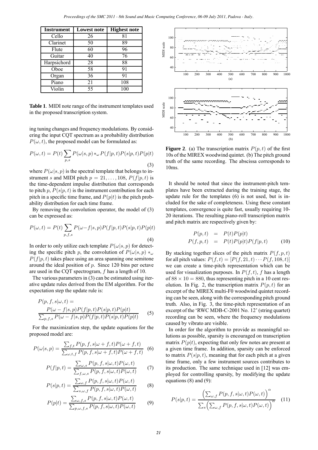| <b>Instrument</b> | <b>Lowest note</b> | <b>Highest note</b> |
|-------------------|--------------------|---------------------|
| Cello             | 26                 | 81                  |
| Clarinet          | 50                 | 89                  |
| Flute             | 60                 | 96                  |
| Guitar            | 40                 | 76                  |
| Harpsichord       | 28                 | 88                  |
| Oboe              | 58                 | 91                  |
| Organ             | 36                 | 91                  |
| Piano             | 21                 | 108                 |
| Violin            | 55                 | 100                 |

**Table 1**. MIDI note range of the instrument templates used in the proposed transcription system.

ing tuning changes and frequency modulations. By considering the input CQT spectrum as a probability distribution  $P(\omega, t)$ , the proposed model can be formulated as:

$$
P(\omega, t) = P(t) \sum_{p,s} P(\omega|s, p) *_{\omega} P(f|p, t) P(s|p, t) P(p|t)
$$
\n(3)

where  $P(\omega|s, p)$  is the spectral template that belongs to instrument s and MIDI pitch  $p = 21, \ldots, 108, P(f|p, t)$  is the time-dependent impulse distribution that corresponds to pitch p,  $P(s|p, t)$  is the instrument contribution for each pitch in a specific time frame, and  $P(p|t)$  is the pitch probability distribution for each time frame.

By removing the convolution operator, the model of [\(3\)](#page--1-11) can be expressed as:

$$
P(\omega, t) = P(t) \sum_{p, f, s} P(\omega - f|s, p) P(f|p, t) P(s|p, t) P(p|t)
$$
\n(4)

In order to only utilize each template  $P(\omega|s, p)$  for detecting the specific pitch p, the convolution of  $P(\omega|s, p) *_{\omega}$  $P(f|p, t)$  takes place using an area spanning one semitone around the ideal position of  $p$ . Since 120 bins per octave are used in the CQT spectrogram, f has a length of 10.

The various parameters in [\(3\)](#page--1-11) can be estimated using iterative update rules derived from the EM algorithm. For the expectation step the update rule is:

$$
P(p, f, s | \omega, t) =
$$
  
\n
$$
P(\omega - f | s, p) P(f | p, t) P(s | p, t) P(p | t)
$$
  
\n
$$
\sum_{p, f, s} P(\omega - f | s, p) P(f | p, t) P(s | p, t) P(p | t)
$$
\n(5)

For the maximization step, the update equations for the proposed model are:

$$
P(\omega|s,p) = \frac{\sum_{f,t} P(p, f, s | \omega + f, t) P(\omega + f, t)}{\sum_{\omega, t, f} P(p, f, s | \omega + f, t) P(\omega + f, t)} \tag{6}
$$

$$
P(f|p,t) = \frac{\sum_{\omega,s} P(p,f,s|\omega,t)P(\omega,t)}{\sum_{f,\omega,s} P(p,f,s|\omega,t)P(\omega,t)} \tag{7}
$$

<span id="page-3-0"></span>
$$
P(s|p,t) = \frac{\sum_{\omega,f} P(p,f,s|\omega,t)P(\omega,t)}{\sum_{s,\omega,f} P(p,f,s|\omega,t)P(\omega,t)}
$$
(8)

<span id="page-3-1"></span>
$$
P(p|t) = \frac{\sum_{\omega, f, s} P(p, f, s | \omega, t) P(\omega, t)}{\sum_{p, \omega, f, s} P(p, f, s | \omega, t) P(\omega, t)}
$$
(9)



**Figure 2.** (a) The transcription matrix  $P(p, t)$  of the first 10s of the MIREX woodwind quintet. (b) The pitch ground truth of the same recording. The abscissa corresponds to 10ms.

It should be noted that since the instrument-pitch templates have been extracted during the training stage, the update rule for the templates [\(6\)](#page--1-12) is not used, but is included for the sake of completeness. Using these constant templates, convergence is quite fast, usually requiring 10- 20 iterations. The resulting piano-roll transcription matrix and pitch matrix are respectively given by:

$$
P(p,t) = P(t)P(p|t)
$$
  

$$
P(f,p,t) = P(t)P(p|t)P(f|p,t)
$$
 (10)

By stacking together slices of the pitch matrix  $P(f, p, t)$ for all pitch values:  $P(f, t) = [P(f, 21, t) \cdots P(f, 108, t)]$ we can create a time-pitch representation which can be used for visualization purposes. In  $P(f, t)$ , f has a length of  $88 \times 10 = 880$ , thus representing pitch in a 10 cent res-olution. In Fig. [2,](#page--1-13) the transcription matrix  $P(p, t)$  for an excerpt of the MIREX multi-F0 woodwind quintet recording can be seen, along with the corresponding pitch ground truth. Also, in Fig. [3,](#page--1-14) the time-pitch representation of an excerpt of the 'RWC MDB-C-2001 No. 12' (string quartet) recording can be seen, where the frequency modulations caused by vibrato are visible.

In order for the algorithm to provide as meaningful solutions as possible, sparsity is encouraged on transcription matrix  $P(p|t)$ , expecting that only few notes are present at a given time frame. In addition, sparsity can be enforced to matrix  $P(s|p, t)$ , meaning that for each pitch at a given time frame, only a few instrument sources contributes to its production. The same technique used in [\[12\]](#page-6-11) was employed for controlling sparsity, by modifying the update equations [\(8\)](#page-3-0) and [\(9\)](#page-3-1):

$$
P(s|p,t) = \frac{\left(\sum_{\omega,f} P(p,f,s|\omega,t)P(\omega,t)\right)^{\alpha}}{\sum_{s} \left(\sum_{\omega,f} P(p,f,s|\omega,t)P(\omega,t)\right)^{\alpha}} \quad (11)
$$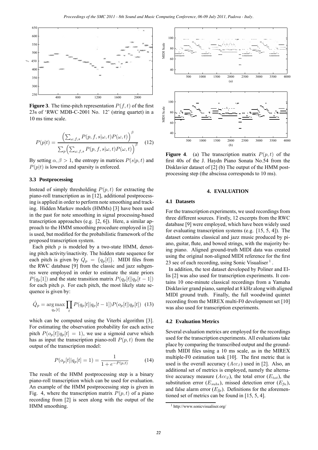

**Figure 3**. The time-pitch representation  $P(f, t)$  of the first 23s of 'RWC MDB-C-2001 No. 12' (string quartet) in a 10 ms time scale.

$$
P(p|t) = \frac{\left(\sum_{\omega, f, s} P(p, f, s | \omega, t) P(\omega, t)\right)^{\beta}}{\sum_{p} \left(\sum_{\omega, f, s} P(p, f, s | \omega, t) P(\omega, t)\right)^{\beta}} \quad (12)
$$

By setting  $\alpha, \beta > 1$ , the entropy in matrices  $P(s|p, t)$  and  $P(p|t)$  is lowered and sparsity is enforced.

#### **3.3 Postprocessing**

Instead of simply thresholding  $P(p, t)$  for extracting the piano-roll transcription as in [\[12\]](#page-6-11), additional postprocessing is applied in order to perform note smoothing and tracking. Hidden Markov models (HMMs) [\[3\]](#page-6-2) have been used in the past for note smoothing in signal processing-based transcription approaches (e.g. [\[2,](#page-6-1) [6\]](#page-6-5)). Here, a similar approach to the HMM smoothing procedure employed in [\[2\]](#page-6-1) is used, but modified for the probabilistic framework of the proposed transcription system.

Each pitch  $p$  is modeled by a two-state HMM, denoting pitch activity/inactivity. The hidden state sequence for each pitch is given by  $Q_p = \{q_p[t]\}\$ . MIDI files from the RWC database [\[9\]](#page-6-8) from the classic and jazz subgenres were employed in order to estimate the state priors  $P(q_p[1])$  and the state transition matrix  $P(q_p[t]|q_p[t-1])$ for each pitch  $p$ . For each pitch, the most likely state sequence is given by:

$$
\hat{Q}_p = \underset{q_p[t]}{\arg \max} \prod_t P(q_p[t]|q_p[t-1]) P(o_p[t]|q_p[t]) \tag{13}
$$

which can be computed using the Viterbi algorithm [\[3\]](#page-6-2). For estimating the observation probability for each active pitch  $P(o_p[t]|q_p[t] = 1)$ , we use a sigmoid curve which has as input the transcription piano-roll  $P(p, t)$  from the output of the transcription model:

$$
P(o_p[t]|q_p[t] = 1) = \frac{1}{1 + e^{-P(p,t)}}\tag{14}
$$

The result of the HMM postprocessing step is a binary piano-roll transcription which can be used for evaluation. An example of the HMM postprocessing step is given in Fig. [4,](#page--1-13) where the transcription matrix  $P(p, t)$  of a piano recording from [\[2\]](#page-6-1) is seen along with the output of the HMM smoothing.



**Figure 4.** (a) The transcription matrix  $P(p, t)$  of the first 40s of the J. Haydn Piano Sonata No.54 from the Disklavier dataset of [\[2\]](#page-6-1) (b) The output of the HMM postprocessing step (the abscissa corresponds to 10 ms).

#### **4. EVALUATION**

#### **4.1 Datasets**

For the transcription experiments, we used recordings from three different sources. Firstly, 12 excerpts from the RWC database [\[9\]](#page-6-8) were employed, which have been widely used for evaluating transcription systems (e.g. [\[15,](#page-6-14) [5,](#page-6-4) [4\]](#page-6-3)). The dataset contains classical and jazz music produced by piano, guitar, flute, and bowed strings, with the majority being piano. Aligned ground-truth MIDI data was created using the original non-aligned MIDI reference for the first 23 sec of each recording, using Sonic Visualiser<sup>[1](#page--1-15)</sup>.

In addition, the test dataset developed by Poliner and Ellis [\[2\]](#page-6-1) was also used for transcription experiments. It contains 10 one-minute classical recordings from a Yamaha Disklavier grand piano, sampled at 8 kHz along with aligned MIDI ground truth. Finally, the full woodwind quintet recording from the MIREX multi-F0 development set [\[10\]](#page-6-9) was also used for transcription experiments.

#### **4.2 Evaluation Metrics**

Several evaluation metrics are employed for the recordings used for the transcription experiments. All evaluations take place by comparing the transcribed output and the groundtruth MIDI files using a 10 ms scale, as in the MIREX multiple-F0 estimation task [\[10\]](#page-6-9). The first metric that is used is the overall accuracy  $(Acc_1)$  used in [\[2\]](#page-6-1). Also, an additional set of metrics is employed, namely the alternative accuracy measure  $(Acc_2)$ , the total error  $(E_{tot})$ , the substitution error  $(E_{subs})$ , missed detection error  $(E_{fn})$ , and false alarm error  $(E_{fp})$ . Definitions for the aforementioned set of metrics can be found in [\[15,](#page-6-14) [5,](#page-6-4) [4\]](#page-6-3).

http://www.sonicvisualiser.org/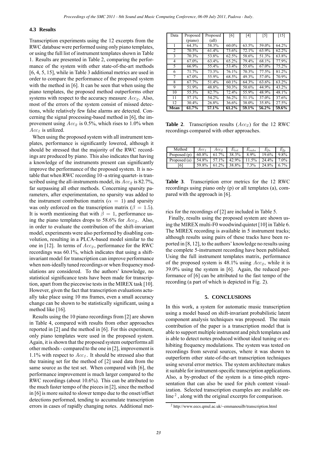#### **4.3 Results**

Transcription experiments using the 12 excerpts from the RWC database were performed using only piano templates, or using the full list of instrument templates shown in Table [1.](#page--1-10) Results are presented in Table [2,](#page--1-16) comparing the performance of the system with other state-of-the-art methods [\[6,](#page-6-5) [4,](#page-6-3) [5,](#page-6-4) [15\]](#page-6-14), while in Table [3](#page--1-14) additional metrics are used in order to compare the performance of the proposed system with the method in [\[6\]](#page-6-5). It can be seen that when using the piano templates, the proposed method outperforms other systems with respect to the accuracy measure  $Acc<sub>2</sub>$ . Also, most of the errors of the system consist of missed detections, while relatively few false alarms are detected. Concerning the signal processing-based method in [\[6\]](#page-6-5), the improvement using  $Acc_2$  is 0.5%, which rises to 1.0% when  $Acc<sub>1</sub>$  is utilized.

When using the proposed system with all instrument templates, performance is significantly lowered, although it should be stressed that the majority of the RWC recordings are produced by piano. This also indicates that having a knowledge of the instruments present can significantly improve the performance of the proposed system. It is notable that when RWC recording 10 -a string quartet- is transcribed using the all-instruments model, its  $Acc<sub>2</sub>$  is 82.7%, far surpassing all other methods. Concerning sparsity parameters, after experimentation, no sparsity was added to the instrument contribution matrix ( $\alpha = 1$ ) and sparsity was only enforced on the transcription matrix ( $\beta = 1.5$ ). It is worth mentioning that with  $\beta = 1$ , performance using the piano templates drops to 58.6% for  $Acc<sub>2</sub>$ . Also, in order to evaluate the contribution of the shift-invariant model, experiments were also performed by disabling convolution, resulting in a PLCA-based model similar to the one in [\[12\]](#page-6-11). In terms of  $Acc_{2}$ , performance for the RWC recordings was 60.1%, which indicates that using a shiftinvariant model for transcription can improve performance when non-ideally tuned recordings or when frequency modulations are considered. To the authors' knowledge, no statistical significance tests have been made for transcription, apart from the piecewise tests in the MIREX task [\[10\]](#page-6-9). However, given the fact that transcription evaluations actually take place using 10 ms frames, even a small accuracy change can be shown to be statistically significant, using a method like [\[16\]](#page-6-15). *Proceedings of the SMC 2011*, we share one the Computing Conference (64,99,12). Padova - Incident Conference Computing Computing Computing Computing Computing Computing Computing Computing Computing Computing Computing C

Results using the 10 piano recordings from [\[2\]](#page-6-1) are shown in Table [4,](#page--1-17) compared with results from other approaches reported in [\[2\]](#page-6-1) and the method in [\[6\]](#page-6-5). For this experiment, only piano templates were used in the proposed system. Again, it is shown that the proposed system outperforms all other methods - compared to the one in [\[2\]](#page-6-1), improvement is 1.1% with respect to  $Acc<sub>1</sub>$ . It should be stressed also that the training set for the method of [\[2\]](#page-6-1) used data from the same source as the test set. When compared with [\[6\]](#page-6-5), the performance improvement is much larger compared to the RWC recordings (about 10.6%). This can be attributed to the much faster tempo of the pieces in [\[2\]](#page-6-1), since the method in [\[6\]](#page-6-5) is more suited to slower tempo due to the onset/offset detections performed, tending to accumulate transcription errors in cases of rapidly changing notes. Additional met-

| Data | Proposed | Proposed       | [6]   | [4]   | [5]   | $[15]$ |
|------|----------|----------------|-------|-------|-------|--------|
|      | (piano)  | $\text{(all)}$ |       |       |       |        |
| 1    | 64.3%    | 58.3%          | 60.0% | 63.5% | 59.0% | 64.2%  |
| 2    | 70.5%    | 61.4%          | 73.6% | 72.1% | 63.9% | 62.2%  |
| 3    | 70.3%    | 53.8%          | 62.5% | 58.6% | 51.3% | 63.8%  |
| 4    | 67.0%    | 63.4%          | 65.2% | 79.4% | 68.1% | 77.9%  |
| 5    | 66.9%    | 55.4%          | 53.4% | 55.6% | 67.0% | 75.2%  |
| 6    | 71.7%    | 73.3%          | 76.1% | 70.3% | 77.5% | 81.2%  |
| 7    | 67.0%    | 55.9%          | 68.5% | 49.3% | 57.0% | 70.9%  |
| 8    | 67.7%    | 51.4%          | 60.1% | 64.3% | 63.6% | 63.2%  |
| 9    | 51.9%    | 48.8%          | 50.3% | 50.6% | 44.9% | 43.2%  |
| 10   | 55.3%    | 82.7%          | 72.4% | 55.9% | 48.9% | 48.1%  |
| 11   | 57.1%    | 54.2%          | 56.2% | 51.1% | 37.0% | 37.6%  |
| 12   | 30.4%    | 26.8%          | 36.6% | 38.0% | 35.8% | 27.5%  |
| Mean | 61.7%    | 57.1%          | 61.2% | 59.1% | 56.2% | 59.6%  |

**Table 2.** Transcription results  $(Acc_2)$  for the 12 RWC recordings compared with other approaches.

| Method       | Acc <sub>t</sub> | Acc.  | $E_{tot}$ | $E_{subs}$ | $E_{fn}$ | E.      |
|--------------|------------------|-------|-----------|------------|----------|---------|
| Proposed (p) | 60.8%            | 61.7% | 38.3%     | 8.9%       | 19.6%    | 9.8%    |
| Proposed (a) | 54.8%            | 57.1% | 42.9%     | 11.5%      | 24.4%    | $7.0\%$ |
| 16           | 59.8%            | 61.2% | 38.8%     | $7.3\%$    | 24.8%    | 6.7%    |

**Table 3**. Transcription error metrics for the 12 RWC recordings using piano only (p) or all templates (a), compared with the approach in [\[6\]](#page-6-5).

rics for the recordings of [\[2\]](#page-6-1) are included in Table [5.](#page--1-18)

Finally, results using the proposed system are shown using the MIREX multi-F0 woodwind quintet [\[10\]](#page-6-9) in Table [6.](#page-6-16) The MIREX recording is available in 5 instrument tracks; although results using pairs of these tracks have been reported in [\[8,](#page-6-7) [12\]](#page-6-11), to the authors' knowledge no results using the complete 5-instrument recording have been published. Using the full instrument templates matrix, performance of the proposed system is 48.1% using  $Acc<sub>2</sub>$ , while it is 39.0% using the system in [\[6\]](#page-6-5). Again, the reduced performance of [\[6\]](#page-6-5) can be attributed to the fast tempo of the recording (a part of which is depicted in Fig. [2\)](#page--1-13).

#### **5. CONCLUSIONS**

In this work, a system for automatic music transcription using a model based on shift-invariant probabilistic latent component analysis techniques was proposed. The main contribution of the paper is a transcription model that is able to support multiple instrument and pitch templates and is able to detect notes produced without ideal tuning or exhibiting frequency modulations. The system was tested on recordings from several sources, where it was shown to outperform other state-of-the-art transcription techniques using several error metrics. The system architecture makes it suitable for instrument-specific transcription applications. Also, a by-product of the system is a time-pitch representation that can also be used for pitch content visualization. Selected transcription examples are available on-line<sup>[2](#page--1-19)</sup>, along with the original excerpts for comparison.

<sup>2</sup> http://www.eecs.qmul.ac.uk/~emmanouilb/transcription.html